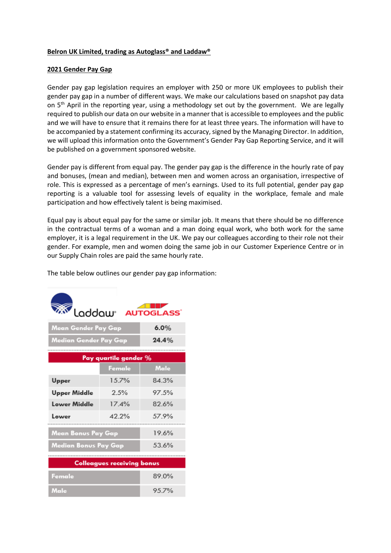# **Belron UK Limited, trading as Autoglass® and Laddaw®**

## **2021 Gender Pay Gap**

Gender pay gap legislation requires an employer with 250 or more UK employees to publish their gender pay gap in a number of different ways. We make our calculations based on snapshot pay data on 5<sup>th</sup> April in the reporting year, using a methodology set out by the government. We are legally required to publish our data on our website in a manner that is accessible to employees and the public and we will have to ensure that it remains there for at least three years. The information will have to be accompanied by a statement confirming its accuracy, signed by the Managing Director. In addition, we will upload this information onto the Government's Gender Pay Gap Reporting Service, and it will be published on a government sponsored website.

Gender pay is different from equal pay. The gender pay gap is the difference in the hourly rate of pay and bonuses, (mean and median), between men and women across an organisation, irrespective of role. This is expressed as a percentage of men's earnings. Used to its full potential, gender pay gap reporting is a valuable tool for assessing levels of equality in the workplace, female and male participation and how effectively talent is being maximised.

Equal pay is about equal pay for the same or similar job. It means that there should be no difference in the contractual terms of a woman and a man doing equal work, who both work for the same employer, it is a legal requirement in the UK. We pay our colleagues according to their role not their gender. For example, men and women doing the same job in our Customer Experience Centre or in our Supply Chain roles are paid the same hourly rate.

The table below outlines our gender pay gap information:

| m<br>Loddow <sup>*</sup> AUTOGLASS |        |       |
|------------------------------------|--------|-------|
| Mean Gender Pay Gap                |        | 6.0%  |
| Median Gender Pay Gap              |        | 24.4% |
| Pay quartile gender %              |        |       |
|                                    | Female | Male  |
| Upper                              | 15.7%  | 84.3% |
| <b>Upper Middle</b>                | 2.5%   | 97.5% |
| Lower Middle                       | 174%   | 82.6% |
| Lower                              | 42.2%  | 579%  |
| Mean Bonus Pay Gap                 |        | 196%  |
| Median Bonus Pay Gap               |        | 53.6% |
| <b>Colleagues receiving bonus</b>  |        |       |
| Female                             |        | 89.0% |
| Male                               |        | 957%  |